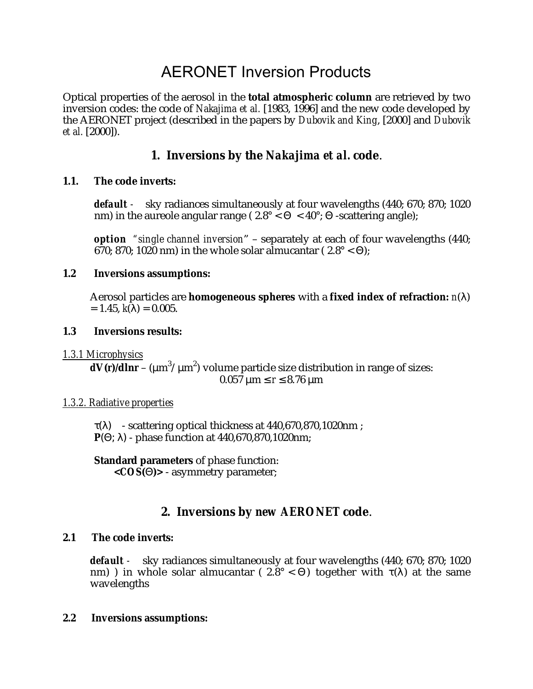# AERONET Inversion Products

Optical properties of the aerosol in the **total atmospheric column** are retrieved by two inversion codes: the code of *Nakajima et al.* [1983, 1996] and the new code developed by the AERONET project (described in the papers by *Dubovik and King*, [2000] and *Dubovik et al.* [2000]).

# **1. Inversions by the** *Nakajima et al.* **code**.

## **1.1. The code inverts:**

*default -* sky radiances simultaneously at four wavelengths (440; 670; 870; 1020 nm) in the aureole angular range ( $2.8^{\circ} < \Theta < 40^{\circ}$ ;  $\Theta$  -scattering angle);

*option "single channel inversion*" – separately at each of four wavelengths (440; 670; 870; 1020 nm) in the whole solar almucantar ( $2.8^{\circ} < \Theta$ );

#### **1.2 Inversions assumptions:**

Aerosol particles are **homogeneous spheres** with a **fixed index of refraction:** *n*(λ)  $= 1.45, k(\lambda) = 0.005.$ 

#### **1.3 Inversions results:**

*1.3.1 Microphysics*

 $dV(r)/dlnr$  – (µm<sup>3</sup>/µm<sup>2</sup>) volume particle size distribution in range of sizes:  $0.057 \mu m \le r \le 8.76 \mu m$ 

## *1.3.2. Radiative properties*

 $\tau(\lambda)$  - scattering optical thickness at 440,670,870,1020nm; **P**(Θ; λ) - phase function at 440,670,870,1020nm;

# **Standard parameters** of phase function:

**<***COS***(**Θ**)>** - asymmetry parameter;

# **2. Inversions by** *new AERONET* **code**.

## **2.1 The code inverts:**

*default -* sky radiances simultaneously at four wavelengths (440; 670; 870; 1020 nm) ) in whole solar almucantar (  $2.8^{\circ} < \Theta$ ) together with  $\tau(\lambda)$  at the same wavelengths

#### **2.2 Inversions assumptions:**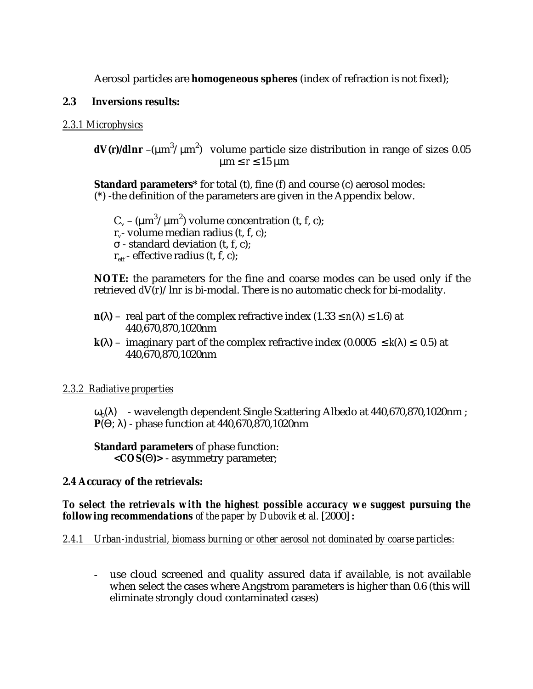Aerosol particles are **homogeneous spheres** (index of refraction is not fixed);

# **2.3 Inversions results:**

#### *2.3.1 Microphysics*

 $dV(r)/dlnr$  –(µm $^3/\mu$ m $^2)$  volume particle size distribution in range of sizes 0.05  $\mu$ m  $\leq$  *r*  $\leq$  15  $\mu$ m

**Standard parameters\*** for total (t), fine (f) and course (c) aerosol modes: (**\***) -the definition of the parameters are given in the Appendix below.

 $C_v$  – (µm<sup>3</sup>/µm<sup>2</sup>) volume concentration (t, f, c);  $r -$  volume median radius (t, f, c): σ - standard deviation (t, f, c);  $r_{\text{eff}}$  - effective radius (t, f, c);

**NOTE:** the parameters for the fine and coarse modes can be used only if the retrieved *d*V(*r*)/ln*r* is bi-modal. There is no automatic check for bi-modality.

- $n(\lambda)$  real part of the complex refractive index  $(1.33 \le n(\lambda) \le 1.6)$  at 440,670,870,1020nm
- $k(\lambda)$  imaginary part of the complex refractive index  $(0.0005 \leq k(\lambda) \leq 0.5)$  at 440,670,870,1020nm

## *2.3.2 Radiative properties*

 $\omega_0(\lambda)$  - wavelength dependent Single Scattering Albedo at 440,670,870,1020nm; **P**(Θ; λ) - phase function at 440,670,870,1020nm

**Standard parameters** of phase function: **<***COS***(**Θ**)>** - asymmetry parameter;

## **2.4 Accuracy of the retrievals:**

*To select the retrievals with the highest possible accuracy we suggest pursuing the following recommendations of the paper by Dubovik et al.* [2000] *:*

## *2.4.1 Urban-industrial, biomass burning or other aerosol not dominated by coarse particles:*

- use cloud screened and quality assured data if available, is not available when select the cases where Angstrom parameters is higher than 0.6 (this will eliminate strongly cloud contaminated cases)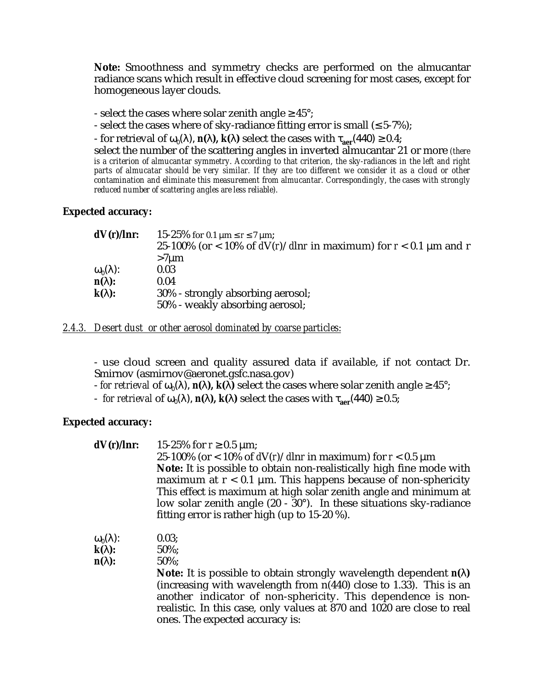**Note:** Smoothness and symmetry checks are performed on the almucantar radiance scans which result in effective cloud screening for most cases, except for homogeneous layer clouds.

- select the cases where solar zenith angle  $\geq 45^{\circ}$ ;

- select the cases where of sky-radiance fitting error is small  $( \leq 5-7\%)$ ;

 $-$  for retrieval of ω<sub>0</sub>(λ),  $n(λ)$ ,  $k(λ)$  select the cases with  $τ_{\text{aer}}(440) ≥ 0.4$ ;

select the number of the scattering angles in inverted almucantar 21 or more *(there is a criterion of almucantar symmetry. According to that criterion, the sky-radiances in the left and right parts of almucatar should be very similar. If they are too different we consider it as a cloud or other contamination and eliminate this measurement from almucantar. Correspondingly, the cases with strongly reduced number of scattering angles are less reliable).*

#### **Expected accuracy:**

| dV(r)/lnr               | 15-25% for 0.1 $\mu$ m $\leq$ r $\leq$ 7 $\mu$ m;                       |
|-------------------------|-------------------------------------------------------------------------|
|                         | 25-100% (or < 10% of $dV(r)/dlnr$ in maximum) for $r < 0.1 \mu m$ and r |
|                         | $>7 \mu m$                                                              |
| $\omega_0(\lambda)$ :   | 0.03                                                                    |
| $\mathbf{n}(\lambda)$ : | 0.04                                                                    |
| $\mathbf{k}(\lambda)$ : | 30% - strongly absorbing aerosol;                                       |
|                         | 50% - weakly absorbing aerosol;                                         |

#### *2.4.3. Desert dust or other aerosol dominated by coarse particles:*

- use cloud screen and quality assured data if available, if not contact Dr. Smirnov (asmirnov@aeronet.gsfc.nasa.gov)

 $-$  *for retrieval* of ω<sub>0</sub>(λ),  $\mathbf{n}$ (λ),  $\mathbf{k}$ (λ) select the cases where solar zenith angle ≥ 45°;

 $f(x) =$  *for retrieval* of ω<sub>0</sub>(λ), *n***(λ),** *k***(λ)** select the cases with τ<sub>aer</sub>(440) ≥ 0.5;

ones. The expected accuracy is:

#### **Expected accuracy:**

| dV(r)/lnr               | 15-25% for $r \ge 0.5$ µm;<br>25-100% (or < 10% of $dV(r)/dlnr$ in maximum) for $r < 0.5 \mu m$<br>Note: It is possible to obtain non-realistically high fine mode with                                                                                                                            |
|-------------------------|----------------------------------------------------------------------------------------------------------------------------------------------------------------------------------------------------------------------------------------------------------------------------------------------------|
|                         | maximum at $r < 0.1$ µm. This happens because of non-sphericity<br>This effect is maximum at high solar zenith angle and minimum at<br>low solar zenith angle $(20 - 30^{\circ})$ . In these situations sky-radiance<br>fitting error is rather high (up to $15-20$ %).                            |
| $\omega_0(\lambda)$ :   | 0.03;                                                                                                                                                                                                                                                                                              |
| $\mathbf{k}(\lambda)$ : | $50\%$ ;                                                                                                                                                                                                                                                                                           |
| $\mathbf{n}(\lambda)$ : | $50\%$                                                                                                                                                                                                                                                                                             |
|                         | <b>Note:</b> It is possible to obtain strongly wavelength dependent $n(\lambda)$<br>(increasing with wavelength from $n(440)$ close to 1.33). This is an<br>another indicator of non-sphericity. This dependence is non-<br>realistic. In this case, only values at 870 and 1020 are close to real |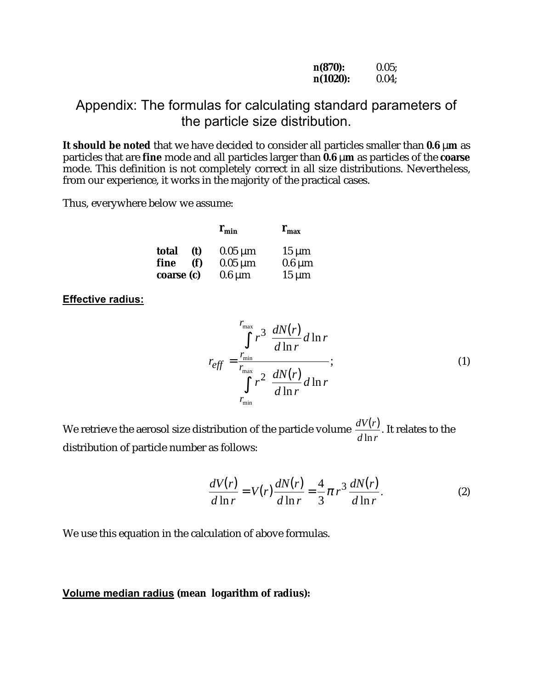| $n(870)$ :  | 0.05; |
|-------------|-------|
| $n(1020)$ : | 0.04; |

# Appendix: The formulas for calculating standard parameters of the particle size distribution.

**It should be noted** that we have decided to consider all particles smaller than **0.6** µ**m** as particles that are **fine** mode and all particles larger than **0.6** µ**m** as particles of the **coarse** mode. This definition is not completely correct in all size distributions. Nevertheless, from our experience, it works in the majority of the practical cases.

Thus, everywhere below we assume:

|              | $\mathbf{r}_{\min}$ | $\mathbf{r}_{\max}$ |
|--------------|---------------------|---------------------|
| total<br>(t) | $0.05 \mu m$        | $15 \mu m$          |
| fine<br>(f)  | $0.05 \mu m$        | $0.6 \mu m$         |
| coarse (c)   | $0.6 \mu m$         | $15 \mu m$          |

**Effective radius:**

$$
r_{\text{eff}} = \frac{\int_{r_{\text{min}}}^{r_{\text{max}}} r^3 \frac{dN(r)}{d\ln r} d\ln r}{\int_{r_{\text{min}}}^{r_{\text{max}}} r^2 \frac{dN(r)}{d\ln r} d\ln r};
$$
\n(1)

We retrieve the aerosol size distribution of the particle volume  $\frac{dV(r)}{dr}$  $d \ln r$  $(r)$ ln . It relates to the distribution of particle number as follows:

$$
\frac{dV(r)}{d\ln r} = V(r)\frac{dN(r)}{d\ln r} = \frac{4}{3}\pi r^3 \frac{dN(r)}{d\ln r}.
$$
\n(2)

We use this equation in the calculation of above formulas.

#### **Volume median radius (mean logarithm of radius):**